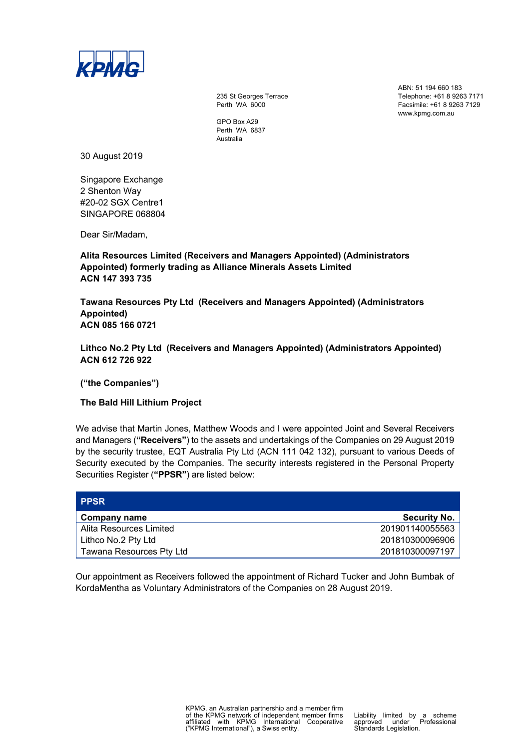

235 St Georges Terrace Perth WA 6000

GPO Box A29 Perth WA 6837 Australia

ABN: 51 194 660 183 Telephone: +61 8 9263 7171 Facsimile: +61 8 9263 7129 www.kpmg.com.au

30 August 2019

Singapore Exchange 2 Shenton Way #20-02 SGX Centre1 SINGAPORE 068804

Dear Sir/Madam,

**Alita Resources Limited (Receivers and Managers Appointed) (Administrators Appointed) formerly trading as Alliance Minerals Assets Limited ACN 147 393 735** 

**Tawana Resources Pty Ltd (Receivers and Managers Appointed) (Administrators Appointed) ACN 085 166 0721** 

**Lithco No.2 Pty Ltd (Receivers and Managers Appointed) (Administrators Appointed) ACN 612 726 922** 

**("the Companies")** 

**The Bald Hill Lithium Project** 

We advise that Martin Jones, Matthew Woods and I were appointed Joint and Several Receivers and Managers (**"Receivers"**) to the assets and undertakings of the Companies on 29 August 2019 by the security trustee, EQT Australia Pty Ltd (ACN 111 042 132), pursuant to various Deeds of Security executed by the Companies. The security interests registered in the Personal Property Securities Register (**"PPSR"**) are listed below:

| <b>PPSR</b>              |                     |
|--------------------------|---------------------|
| Company name             | <b>Security No.</b> |
| Alita Resources Limited  | 201901140055563     |
| Lithco No.2 Pty Ltd      | 201810300096906     |
| Tawana Resources Pty Ltd | 201810300097197     |

Our appointment as Receivers followed the appointment of Richard Tucker and John Bumbak of KordaMentha as Voluntary Administrators of the Companies on 28 August 2019.